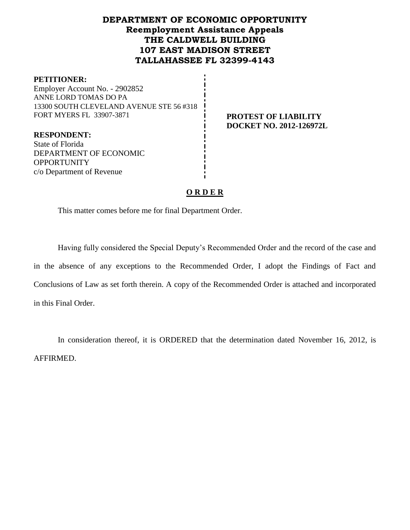## **DEPARTMENT OF ECONOMIC OPPORTUNITY Reemployment Assistance Appeals THE CALDWELL BUILDING 107 EAST MADISON STREET TALLAHASSEE FL 32399-4143**

#### **PETITIONER:**

Employer Account No. - 2902852 ANNE LORD TOMAS DO PA 13300 SOUTH CLEVELAND AVENUE STE 56 #318 FORT MYERS FL 33907-3871 **PROTEST OF LIABILITY** 

**DOCKET NO. 2012-126972L**

**RESPONDENT:** State of Florida DEPARTMENT OF ECONOMIC **OPPORTUNITY** c/o Department of Revenue

## **O R D E R**

This matter comes before me for final Department Order.

Having fully considered the Special Deputy's Recommended Order and the record of the case and in the absence of any exceptions to the Recommended Order, I adopt the Findings of Fact and Conclusions of Law as set forth therein. A copy of the Recommended Order is attached and incorporated in this Final Order.

In consideration thereof, it is ORDERED that the determination dated November 16, 2012, is AFFIRMED.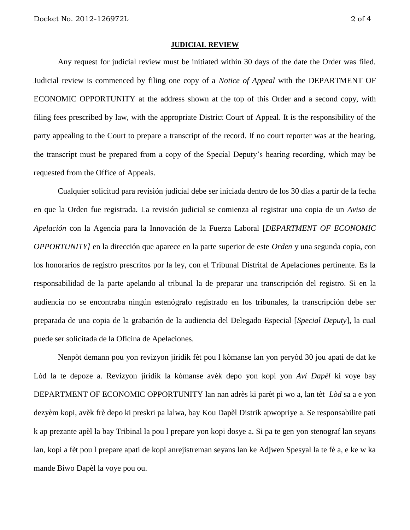#### **JUDICIAL REVIEW**

Any request for judicial review must be initiated within 30 days of the date the Order was filed. Judicial review is commenced by filing one copy of a *Notice of Appeal* with the DEPARTMENT OF ECONOMIC OPPORTUNITY at the address shown at the top of this Order and a second copy, with filing fees prescribed by law, with the appropriate District Court of Appeal. It is the responsibility of the party appealing to the Court to prepare a transcript of the record. If no court reporter was at the hearing, the transcript must be prepared from a copy of the Special Deputy's hearing recording, which may be requested from the Office of Appeals.

Cualquier solicitud para revisión judicial debe ser iniciada dentro de los 30 días a partir de la fecha en que la Orden fue registrada. La revisión judicial se comienza al registrar una copia de un *Aviso de Apelación* con la Agencia para la Innovación de la Fuerza Laboral [*DEPARTMENT OF ECONOMIC OPPORTUNITY]* en la dirección que aparece en la parte superior de este *Orden* y una segunda copia, con los honorarios de registro prescritos por la ley, con el Tribunal Distrital de Apelaciones pertinente. Es la responsabilidad de la parte apelando al tribunal la de preparar una transcripción del registro. Si en la audiencia no se encontraba ningún estenógrafo registrado en los tribunales, la transcripción debe ser preparada de una copia de la grabación de la audiencia del Delegado Especial [*Special Deputy*], la cual puede ser solicitada de la Oficina de Apelaciones.

Nenpòt demann pou yon revizyon jiridik fèt pou l kòmanse lan yon peryòd 30 jou apati de dat ke Lòd la te depoze a. Revizyon jiridik la kòmanse avèk depo yon kopi yon *Avi Dapèl* ki voye bay DEPARTMENT OF ECONOMIC OPPORTUNITY lan nan adrès ki parèt pi wo a, lan tèt *Lòd* sa a e yon dezyèm kopi, avèk frè depo ki preskri pa lalwa, bay Kou Dapèl Distrik apwopriye a. Se responsabilite pati k ap prezante apèl la bay Tribinal la pou l prepare yon kopi dosye a. Si pa te gen yon stenograf lan seyans lan, kopi a fèt pou l prepare apati de kopi anrejistreman seyans lan ke Adjwen Spesyal la te fè a, e ke w ka mande Biwo Dapèl la voye pou ou.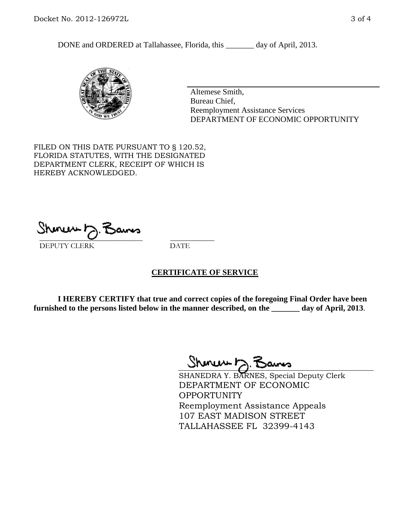DONE and ORDERED at Tallahassee, Florida, this \_\_\_\_\_\_\_ day of April, 2013.



Altemese Smith, Bureau Chief, Reemployment Assistance Services DEPARTMENT OF ECONOMIC OPPORTUNITY

FILED ON THIS DATE PURSUANT TO § 120.52, FLORIDA STATUTES, WITH THE DESIGNATED DEPARTMENT CLERK, RECEIPT OF WHICH IS HEREBY ACKNOWLEDGED.

 $\overline{\phantom{a}}$  ,  $\overline{\phantom{a}}$  ,  $\overline{\phantom{a}}$  ,  $\overline{\phantom{a}}$  ,  $\overline{\phantom{a}}$  ,  $\overline{\phantom{a}}$  ,  $\overline{\phantom{a}}$  ,  $\overline{\phantom{a}}$ DEPUTY CLERK DATE

### **CERTIFICATE OF SERVICE**

**I HEREBY CERTIFY that true and correct copies of the foregoing Final Order have been furnished to the persons listed below in the manner described, on the \_\_\_\_\_\_\_ day of April, 2013**.

 $ShmumE, F$ 

SHANEDRA Y. BARNES, Special Deputy Clerk DEPARTMENT OF ECONOMIC **OPPORTUNITY** Reemployment Assistance Appeals 107 EAST MADISON STREET TALLAHASSEE FL 32399-4143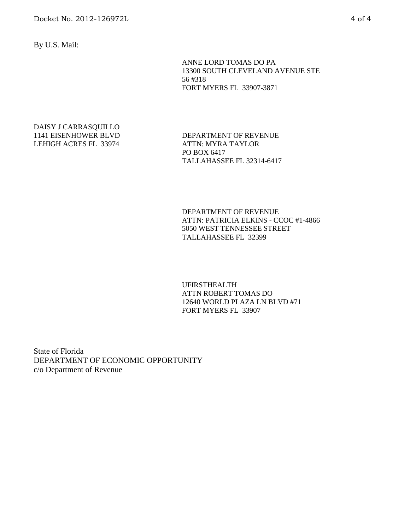By U.S. Mail:

ANNE LORD TOMAS DO PA 13300 SOUTH CLEVELAND AVENUE STE 56 #318 FORT MYERS FL 33907-3871

#### DAISY J CARRASQUILLO 1141 EISENHOWER BLVD LEHIGH ACRES FL 33974

DEPARTMENT OF REVENUE ATTN: MYRA TAYLOR PO BOX 6417 TALLAHASSEE FL 32314-6417

DEPARTMENT OF REVENUE ATTN: PATRICIA ELKINS - CCOC #1-4866 5050 WEST TENNESSEE STREET TALLAHASSEE FL 32399

UFIRSTHEALTH ATTN ROBERT TOMAS DO 12640 WORLD PLAZA LN BLVD #71 FORT MYERS FL 33907

State of Florida DEPARTMENT OF ECONOMIC OPPORTUNITY c/o Department of Revenue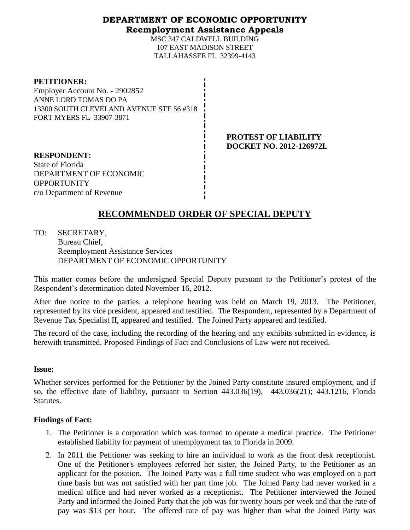### **DEPARTMENT OF ECONOMIC OPPORTUNITY Reemployment Assistance Appeals**

MSC 347 CALDWELL BUILDING 107 EAST MADISON STREET TALLAHASSEE FL 32399-4143

#### **PETITIONER:**

Employer Account No. - 2902852 ANNE LORD TOMAS DO PA 13300 SOUTH CLEVELAND AVENUE STE 56 #318 FORT MYERS FL 33907-3871

> **PROTEST OF LIABILITY DOCKET NO. 2012-126972L**

**RESPONDENT:** State of Florida DEPARTMENT OF ECONOMIC **OPPORTUNITY** c/o Department of Revenue

# **RECOMMENDED ORDER OF SPECIAL DEPUTY**

TO: SECRETARY, Bureau Chief, Reemployment Assistance Services DEPARTMENT OF ECONOMIC OPPORTUNITY

This matter comes before the undersigned Special Deputy pursuant to the Petitioner's protest of the Respondent's determination dated November 16, 2012.

After due notice to the parties, a telephone hearing was held on March 19, 2013. The Petitioner, represented by its vice president, appeared and testified. The Respondent, represented by a Department of Revenue Tax Specialist II, appeared and testified. The Joined Party appeared and testified.

The record of the case, including the recording of the hearing and any exhibits submitted in evidence, is herewith transmitted. Proposed Findings of Fact and Conclusions of Law were not received.

### **Issue:**

Whether services performed for the Petitioner by the Joined Party constitute insured employment, and if so, the effective date of liability, pursuant to Section 443.036(19), 443.036(21); 443.1216, Florida Statutes.

### **Findings of Fact:**

- 1. The Petitioner is a corporation which was formed to operate a medical practice. The Petitioner established liability for payment of unemployment tax to Florida in 2009.
- 2. In 2011 the Petitioner was seeking to hire an individual to work as the front desk receptionist. One of the Petitioner's employees referred her sister, the Joined Party, to the Petitioner as an applicant for the position. The Joined Party was a full time student who was employed on a part time basis but was not satisfied with her part time job. The Joined Party had never worked in a medical office and had never worked as a receptionist. The Petitioner interviewed the Joined Party and informed the Joined Party that the job was for twenty hours per week and that the rate of pay was \$13 per hour. The offered rate of pay was higher than what the Joined Party was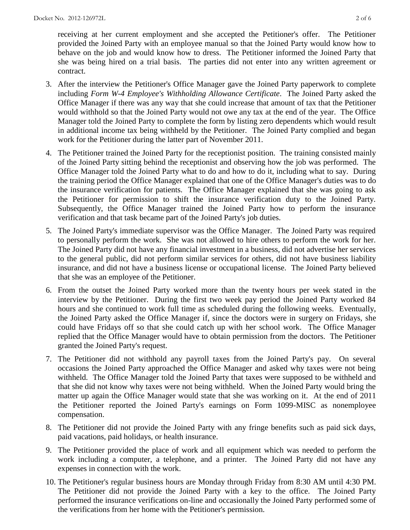receiving at her current employment and she accepted the Petitioner's offer. The Petitioner provided the Joined Party with an employee manual so that the Joined Party would know how to behave on the job and would know how to dress. The Petitioner informed the Joined Party that she was being hired on a trial basis. The parties did not enter into any written agreement or contract.

- 3. After the interview the Petitioner's Office Manager gave the Joined Party paperwork to complete including *Form W-4 Employee's Withholding Allowance Certificate*. The Joined Party asked the Office Manager if there was any way that she could increase that amount of tax that the Petitioner would withhold so that the Joined Party would not owe any tax at the end of the year. The Office Manager told the Joined Party to complete the form by listing zero dependents which would result in additional income tax being withheld by the Petitioner. The Joined Party complied and began work for the Petitioner during the latter part of November 2011.
- 4. The Petitioner trained the Joined Party for the receptionist position. The training consisted mainly of the Joined Party sitting behind the receptionist and observing how the job was performed. The Office Manager told the Joined Party what to do and how to do it, including what to say. During the training period the Office Manager explained that one of the Office Manager's duties was to do the insurance verification for patients. The Office Manager explained that she was going to ask the Petitioner for permission to shift the insurance verification duty to the Joined Party. Subsequently, the Office Manager trained the Joined Party how to perform the insurance verification and that task became part of the Joined Party's job duties.
- 5. The Joined Party's immediate supervisor was the Office Manager. The Joined Party was required to personally perform the work. She was not allowed to hire others to perform the work for her. The Joined Party did not have any financial investment in a business, did not advertise her services to the general public, did not perform similar services for others, did not have business liability insurance, and did not have a business license or occupational license. The Joined Party believed that she was an employee of the Petitioner.
- 6. From the outset the Joined Party worked more than the twenty hours per week stated in the interview by the Petitioner. During the first two week pay period the Joined Party worked 84 hours and she continued to work full time as scheduled during the following weeks. Eventually, the Joined Party asked the Office Manager if, since the doctors were in surgery on Fridays, she could have Fridays off so that she could catch up with her school work. The Office Manager replied that the Office Manager would have to obtain permission from the doctors. The Petitioner granted the Joined Party's request.
- 7. The Petitioner did not withhold any payroll taxes from the Joined Party's pay. On several occasions the Joined Party approached the Office Manager and asked why taxes were not being withheld. The Office Manager told the Joined Party that taxes were supposed to be withheld and that she did not know why taxes were not being withheld. When the Joined Party would bring the matter up again the Office Manager would state that she was working on it. At the end of 2011 the Petitioner reported the Joined Party's earnings on Form 1099-MISC as nonemployee compensation.
- 8. The Petitioner did not provide the Joined Party with any fringe benefits such as paid sick days, paid vacations, paid holidays, or health insurance.
- 9. The Petitioner provided the place of work and all equipment which was needed to perform the work including a computer, a telephone, and a printer. The Joined Party did not have any expenses in connection with the work.
- 10. The Petitioner's regular business hours are Monday through Friday from 8:30 AM until 4:30 PM. The Petitioner did not provide the Joined Party with a key to the office. The Joined Party performed the insurance verifications on-line and occasionally the Joined Party performed some of the verifications from her home with the Petitioner's permission.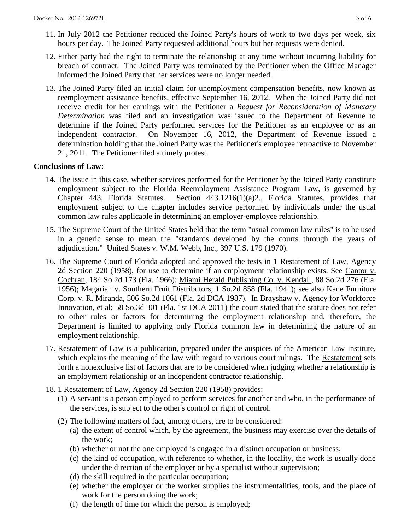- 12. Either party had the right to terminate the relationship at any time without incurring liability for breach of contract. The Joined Party was terminated by the Petitioner when the Office Manager informed the Joined Party that her services were no longer needed.
- 13. The Joined Party filed an initial claim for unemployment compensation benefits, now known as reemployment assistance benefits, effective September 16, 2012. When the Joined Party did not receive credit for her earnings with the Petitioner a *Request for Reconsideration of Monetary Determination* was filed and an investigation was issued to the Department of Revenue to determine if the Joined Party performed services for the Petitioner as an employee or as an independent contractor. On November 16, 2012, the Department of Revenue issued a determination holding that the Joined Party was the Petitioner's employee retroactive to November 21, 2011. The Petitioner filed a timely protest.

## **Conclusions of Law:**

- 14. The issue in this case, whether services performed for the Petitioner by the Joined Party constitute employment subject to the Florida Reemployment Assistance Program Law, is governed by Chapter 443, Florida Statutes. Section 443.1216(1)(a)2., Florida Statutes, provides that employment subject to the chapter includes service performed by individuals under the usual common law rules applicable in determining an employer-employee relationship.
- 15. The Supreme Court of the United States held that the term "usual common law rules" is to be used in a generic sense to mean the "standards developed by the courts through the years of adjudication." United States v. W.M. Webb, Inc., 397 U.S. 179 (1970).
- 16. The Supreme Court of Florida adopted and approved the tests in 1 Restatement of Law, Agency 2d Section 220 (1958), for use to determine if an employment relationship exists. See Cantor v. Cochran, 184 So.2d 173 (Fla. 1966); Miami Herald Publishing Co. v. Kendall, 88 So.2d 276 (Fla. 1956); Magarian v. Southern Fruit Distributors, 1 So.2d 858 (Fla. 1941); see also Kane Furniture Corp. v. R. Miranda, 506 So.2d 1061 (Fla. 2d DCA 1987). In Brayshaw v. Agency for Workforce Innovation, et al; 58 So.3d 301 (Fla. 1st DCA 2011) the court stated that the statute does not refer to other rules or factors for determining the employment relationship and, therefore, the Department is limited to applying only Florida common law in determining the nature of an employment relationship.
- 17. Restatement of Law is a publication, prepared under the auspices of the American Law Institute, which explains the meaning of the law with regard to various court rulings. The Restatement sets forth a nonexclusive list of factors that are to be considered when judging whether a relationship is an employment relationship or an independent contractor relationship.
- 18. 1 Restatement of Law, Agency 2d Section 220 (1958) provides:
	- (1) A servant is a person employed to perform services for another and who, in the performance of the services, is subject to the other's control or right of control.
	- (2) The following matters of fact, among others, are to be considered:
		- (a) the extent of control which, by the agreement, the business may exercise over the details of the work;
		- (b) whether or not the one employed is engaged in a distinct occupation or business;
		- (c) the kind of occupation, with reference to whether, in the locality, the work is usually done under the direction of the employer or by a specialist without supervision;
		- (d) the skill required in the particular occupation;
		- (e) whether the employer or the worker supplies the instrumentalities, tools, and the place of work for the person doing the work;
		- (f) the length of time for which the person is employed;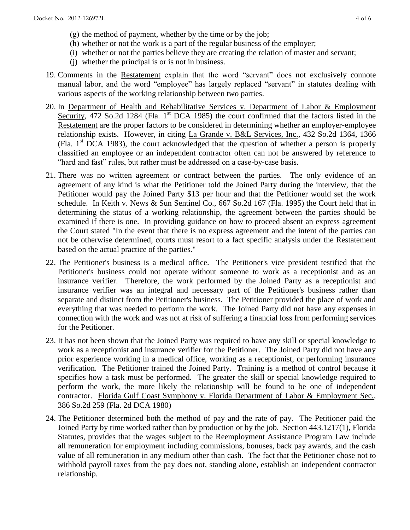- (g) the method of payment, whether by the time or by the job;
- (h) whether or not the work is a part of the regular business of the employer;
- (i) whether or not the parties believe they are creating the relation of master and servant;
- (j) whether the principal is or is not in business.
- 19. Comments in the Restatement explain that the word "servant" does not exclusively connote manual labor, and the word "employee" has largely replaced "servant" in statutes dealing with various aspects of the working relationship between two parties.
- 20. In Department of Health and Rehabilitative Services v. Department of Labor & Employment Security, 472 So.2d 1284 (Fla. 1<sup>st</sup> DCA 1985) the court confirmed that the factors listed in the Restatement are the proper factors to be considered in determining whether an employer-employee relationship exists. However, in citing La Grande v. B&L Services, Inc., 432 So.2d 1364, 1366 (Fla.  $1<sup>st</sup>$  DCA 1983), the court acknowledged that the question of whether a person is properly classified an employee or an independent contractor often can not be answered by reference to "hard and fast" rules, but rather must be addressed on a case-by-case basis.
- 21. There was no written agreement or contract between the parties. The only evidence of an agreement of any kind is what the Petitioner told the Joined Party during the interview, that the Petitioner would pay the Joined Party \$13 per hour and that the Petitioner would set the work schedule. In Keith v. News & Sun Sentinel Co., 667 So.2d 167 (Fla. 1995) the Court held that in determining the status of a working relationship, the agreement between the parties should be examined if there is one. In providing guidance on how to proceed absent an express agreement the Court stated "In the event that there is no express agreement and the intent of the parties can not be otherwise determined, courts must resort to a fact specific analysis under the Restatement based on the actual practice of the parties."
- 22. The Petitioner's business is a medical office. The Petitioner's vice president testified that the Petitioner's business could not operate without someone to work as a receptionist and as an insurance verifier. Therefore, the work performed by the Joined Party as a receptionist and insurance verifier was an integral and necessary part of the Petitioner's business rather than separate and distinct from the Petitioner's business. The Petitioner provided the place of work and everything that was needed to perform the work. The Joined Party did not have any expenses in connection with the work and was not at risk of suffering a financial loss from performing services for the Petitioner.
- 23. It has not been shown that the Joined Party was required to have any skill or special knowledge to work as a receptionist and insurance verifier for the Petitioner. The Joined Party did not have any prior experience working in a medical office, working as a receptionist, or performing insurance verification. The Petitioner trained the Joined Party. Training is a method of control because it specifies how a task must be performed. The greater the skill or special knowledge required to perform the work, the more likely the relationship will be found to be one of independent contractor. Florida Gulf Coast Symphony v. Florida Department of Labor & Employment Sec., 386 So.2d 259 (Fla. 2d DCA 1980)
- 24. The Petitioner determined both the method of pay and the rate of pay. The Petitioner paid the Joined Party by time worked rather than by production or by the job. Section 443.1217(1), Florida Statutes, provides that the wages subject to the Reemployment Assistance Program Law include all remuneration for employment including commissions, bonuses, back pay awards, and the cash value of all remuneration in any medium other than cash. The fact that the Petitioner chose not to withhold payroll taxes from the pay does not, standing alone, establish an independent contractor relationship.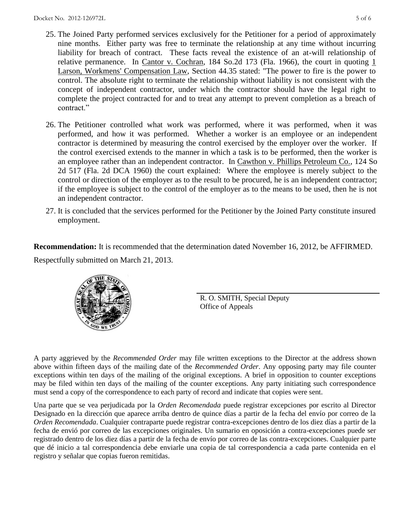- 25. The Joined Party performed services exclusively for the Petitioner for a period of approximately nine months. Either party was free to terminate the relationship at any time without incurring liability for breach of contract. These facts reveal the existence of an at-will relationship of relative permanence. In Cantor v. Cochran, 184 So.2d 173 (Fla. 1966), the court in quoting  $1$ Larson, Workmens' Compensation Law, Section 44.35 stated: "The power to fire is the power to control. The absolute right to terminate the relationship without liability is not consistent with the concept of independent contractor, under which the contractor should have the legal right to complete the project contracted for and to treat any attempt to prevent completion as a breach of contract."
- 26. The Petitioner controlled what work was performed, where it was performed, when it was performed, and how it was performed. Whether a worker is an employee or an independent contractor is determined by measuring the control exercised by the employer over the worker. If the control exercised extends to the manner in which a task is to be performed, then the worker is an employee rather than an independent contractor. In Cawthon v. Phillips Petroleum Co., 124 So 2d 517 (Fla. 2d DCA 1960) the court explained: Where the employee is merely subject to the control or direction of the employer as to the result to be procured, he is an independent contractor; if the employee is subject to the control of the employer as to the means to be used, then he is not an independent contractor.
- 27. It is concluded that the services performed for the Petitioner by the Joined Party constitute insured employment.

**Recommendation:** It is recommended that the determination dated November 16, 2012, be AFFIRMED.

Respectfully submitted on March 21, 2013.

R. O. SMITH, Special Deputy Office of Appeals

A party aggrieved by the *Recommended Order* may file written exceptions to the Director at the address shown above within fifteen days of the mailing date of the *Recommended Order*. Any opposing party may file counter exceptions within ten days of the mailing of the original exceptions. A brief in opposition to counter exceptions may be filed within ten days of the mailing of the counter exceptions. Any party initiating such correspondence must send a copy of the correspondence to each party of record and indicate that copies were sent.

Una parte que se vea perjudicada por la *Orden Recomendada* puede registrar excepciones por escrito al Director Designado en la dirección que aparece arriba dentro de quince días a partir de la fecha del envío por correo de la *Orden Recomendada*. Cualquier contraparte puede registrar contra-excepciones dentro de los diez días a partir de la fecha de envió por correo de las excepciones originales. Un sumario en oposición a contra-excepciones puede ser registrado dentro de los diez días a partir de la fecha de envío por correo de las contra-excepciones. Cualquier parte que dé inicio a tal correspondencia debe enviarle una copia de tal correspondencia a cada parte contenida en el registro y señalar que copias fueron remitidas.